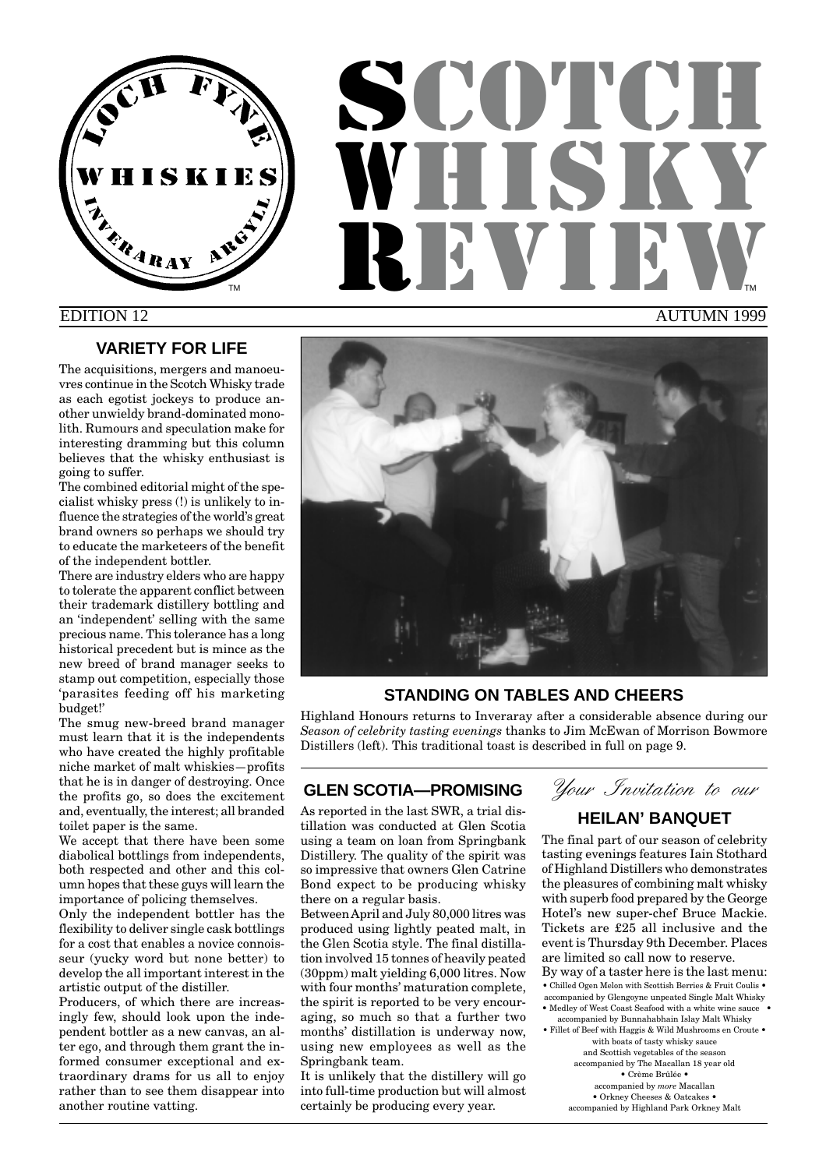

# **SCOTCH** WHUT REVIEW AUTUMN 1999 TM **THE REPORT OF STATE OF STATE OF STATE OF STATE OF STATE OF STATE OF STATE OF STATE OF STATE OF STATE OF STATE OF STATE OF STATE OF STATE OF STATE OF STATE OF STATE OF STATE OF STATE OF STATE OF STATE OF STATE OF STATE**

# EDITION 12

# **VARIETY FOR LIFE**

The acquisitions, mergers and manoeuvres continue in the Scotch Whisky trade as each egotist jockeys to produce another unwieldy brand-dominated monolith. Rumours and speculation make for interesting dramming but this column believes that the whisky enthusiast is going to suffer.

The combined editorial might of the specialist whisky press (!) is unlikely to influence the strategies of the world's great brand owners so perhaps we should try to educate the marketeers of the benefit of the independent bottler.

There are industry elders who are happy to tolerate the apparent conflict between their trademark distillery bottling and an 'independent' selling with the same precious name. This tolerance has a long historical precedent but is mince as the new breed of brand manager seeks to stamp out competition, especially those 'parasites feeding off his marketing budget!'

The smug new-breed brand manager must learn that it is the independents who have created the highly profitable niche market of malt whiskies—profits that he is in danger of destroying. Once the profits go, so does the excitement and, eventually, the interest; all branded toilet paper is the same.

We accept that there have been some diabolical bottlings from independents, both respected and other and this column hopes that these guys will learn the importance of policing themselves.

Only the independent bottler has the flexibility to deliver single cask bottlings for a cost that enables a novice connoisseur (yucky word but none better) to develop the all important interest in the artistic output of the distiller.

Producers, of which there are increasingly few, should look upon the independent bottler as a new canvas, an alter ego, and through them grant the informed consumer exceptional and extraordinary drams for us all to enjoy rather than to see them disappear into another routine vatting.



# **STANDING ON TABLES AND CHEERS**

Highland Honours returns to Inveraray after a considerable absence during our *Season of celebrity tasting evenings* thanks to Jim McEwan of Morrison Bowmore Distillers (left). This traditional toast is described in full on page 9.

# **GLEN SCOTIA—PROMISING**

As reported in the last SWR, a trial distillation was conducted at Glen Scotia using a team on loan from Springbank Distillery. The quality of the spirit was so impressive that owners Glen Catrine Bond expect to be producing whisky there on a regular basis.

Between April and July 80,000 litres was produced using lightly peated malt, in the Glen Scotia style. The final distillation involved 15 tonnes of heavily peated (30ppm) malt yielding 6,000 litres. Now with four months' maturation complete, the spirit is reported to be very encouraging, so much so that a further two months' distillation is underway now, using new employees as well as the Springbank team.

It is unlikely that the distillery will go into full-time production but will almost certainly be producing every year.

Your Invitation to our

# **HEILAN' BANQUET**

The final part of our season of celebrity tasting evenings features Iain Stothard of Highland Distillers who demonstrates the pleasures of combining malt whisky with superb food prepared by the George Hotel's new super-chef Bruce Mackie. Tickets are £25 all inclusive and the event is Thursday 9th December. Places are limited so call now to reserve. By way of a taster here is the last menu: • Chilled Ogen Melon with Scottish Berries & Fruit Coulis • accompanied by Glengoyne unpeated Single Malt Whisky • Medley of West Coast Seafood with a white wine sauce • accompanied by Bunnahabhain Islay Malt Whisky <br> • Fillet of Beef with Haggis & Wild Mushrooms en Croute<br>  $\bullet$ with boats of tasty whisky sauce and Scottish vegetables of the season accompanied by The Macallan 18 year old • Crème Brûlée • accompanied by *more* Macallan • Orkney Cheeses & Oatcakes • accompanied by Highland Park Orkney Malt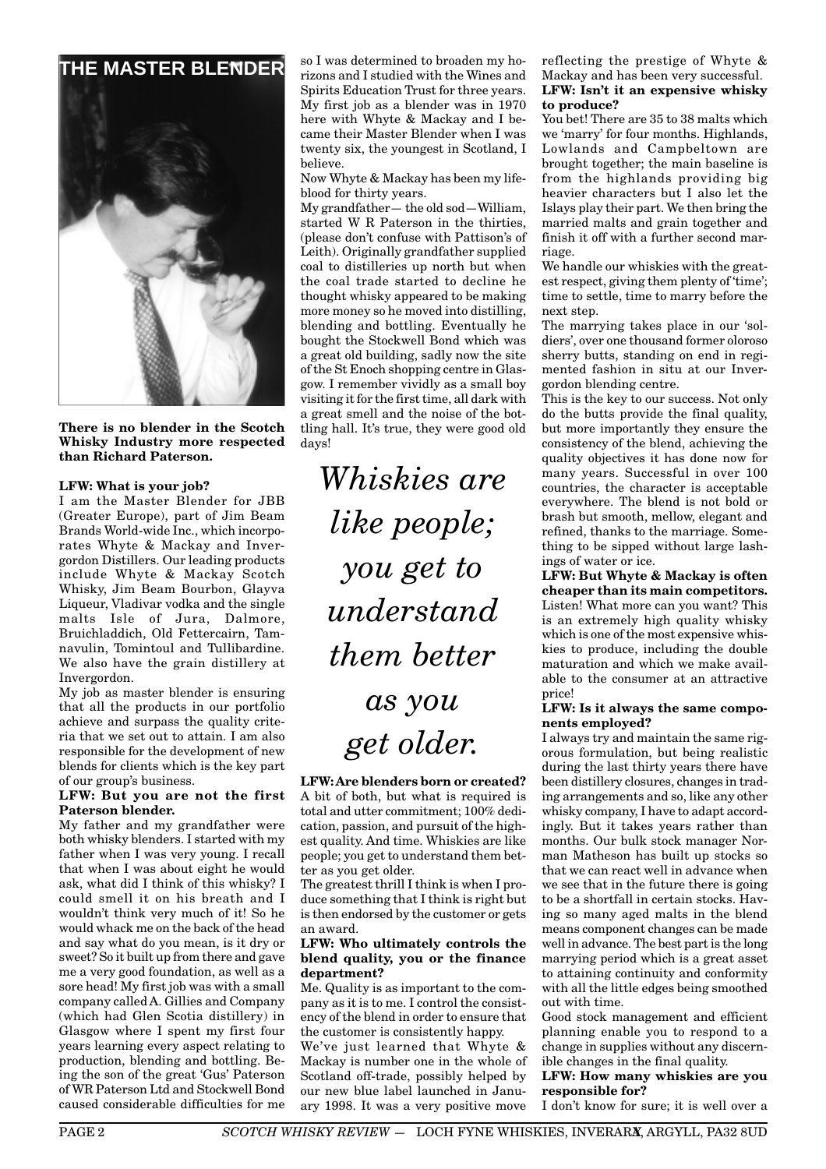

**There is no blender in the Scotch Whisky Industry more respected than Richard Paterson.**

#### **LFW: What is your job?**

I am the Master Blender for JBB (Greater Europe), part of Jim Beam Brands World-wide Inc., which incorporates Whyte & Mackay and Invergordon Distillers. Our leading products include Whyte & Mackay Scotch Whisky, Jim Beam Bourbon, Glayva Liqueur, Vladivar vodka and the single malts Isle of Jura, Dalmore, Bruichladdich, Old Fettercairn, Tamnavulin, Tomintoul and Tullibardine. We also have the grain distillery at Invergordon.

My job as master blender is ensuring that all the products in our portfolio achieve and surpass the quality criteria that we set out to attain. I am also responsible for the development of new blends for clients which is the key part of our group's business.

#### **LFW: But you are not the first Paterson blender.**

My father and my grandfather were both whisky blenders. I started with my father when I was very young. I recall that when I was about eight he would ask, what did I think of this whisky? I could smell it on his breath and I wouldn't think very much of it! So he would whack me on the back of the head and say what do you mean, is it dry or sweet? So it built up from there and gave me a very good foundation, as well as a sore head! My first job was with a small company called A. Gillies and Company (which had Glen Scotia distillery) in Glasgow where I spent my first four years learning every aspect relating to production, blending and bottling. Being the son of the great 'Gus' Paterson of WR Paterson Ltd and Stockwell Bond caused considerable difficulties for me so I was determined to broaden my horizons and I studied with the Wines and Spirits Education Trust for three years. My first job as a blender was in 1970 here with Whyte & Mackay and I became their Master Blender when I was twenty six, the youngest in Scotland, I believe.

Now Whyte & Mackay has been my lifeblood for thirty years.

My grandfather— the old sod—William, started W R Paterson in the thirties, (please don't confuse with Pattison's of Leith). Originally grandfather supplied coal to distilleries up north but when the coal trade started to decline he thought whisky appeared to be making more money so he moved into distilling, blending and bottling. Eventually he bought the Stockwell Bond which was a great old building, sadly now the site of the St Enoch shopping centre in Glasgow. I remember vividly as a small boy visiting it for the first time, all dark with a great smell and the noise of the bottling hall. It's true, they were good old days!

*Whiskies are like people; you get to understand them better*

# *as you get older.*

**LFW: Are blenders born or created?** A bit of both, but what is required is total and utter commitment; 100% dedication, passion, and pursuit of the highest quality. And time. Whiskies are like people; you get to understand them better as you get older.

The greatest thrill I think is when I produce something that I think is right but is then endorsed by the customer or gets an award.

#### **LFW: Who ultimately controls the blend quality, you or the finance department?**

Me. Quality is as important to the company as it is to me. I control the consistency of the blend in order to ensure that the customer is consistently happy.

We've just learned that Whyte & Mackay is number one in the whole of Scotland off-trade, possibly helped by our new blue label launched in January 1998. It was a very positive move

#### reflecting the prestige of Whyte & Mackay and has been very successful. **LFW: Isn't it an expensive whisky to produce?**

You bet! There are 35 to 38 malts which we 'marry' for four months. Highlands, Lowlands and Campbeltown are brought together; the main baseline is from the highlands providing big heavier characters but I also let the Islays play their part. We then bring the married malts and grain together and finish it off with a further second marriage.

We handle our whiskies with the greatest respect, giving them plenty of 'time'; time to settle, time to marry before the next step.

The marrying takes place in our 'soldiers', over one thousand former oloroso sherry butts, standing on end in regimented fashion in situ at our Invergordon blending centre.

This is the key to our success. Not only do the butts provide the final quality, but more importantly they ensure the consistency of the blend, achieving the quality objectives it has done now for many years. Successful in over 100 countries, the character is acceptable everywhere. The blend is not bold or brash but smooth, mellow, elegant and refined, thanks to the marriage. Something to be sipped without large lashings of water or ice.

**LFW: But Whyte & Mackay is often cheaper than its main competitors.** Listen! What more can you want? This is an extremely high quality whisky which is one of the most expensive whiskies to produce, including the double maturation and which we make available to the consumer at an attractive price!

#### **LFW: Is it always the same components employed?**

I always try and maintain the same rigorous formulation, but being realistic during the last thirty years there have been distillery closures, changes in trading arrangements and so, like any other whisky company, I have to adapt accordingly. But it takes years rather than months. Our bulk stock manager Norman Matheson has built up stocks so that we can react well in advance when we see that in the future there is going to be a shortfall in certain stocks. Having so many aged malts in the blend means component changes can be made well in advance. The best part is the long marrying period which is a great asset to attaining continuity and conformity with all the little edges being smoothed out with time.

Good stock management and efficient planning enable you to respond to a change in supplies without any discernible changes in the final quality.

#### **LFW: How many whiskies are you responsible for?**

I don't know for sure; it is well over a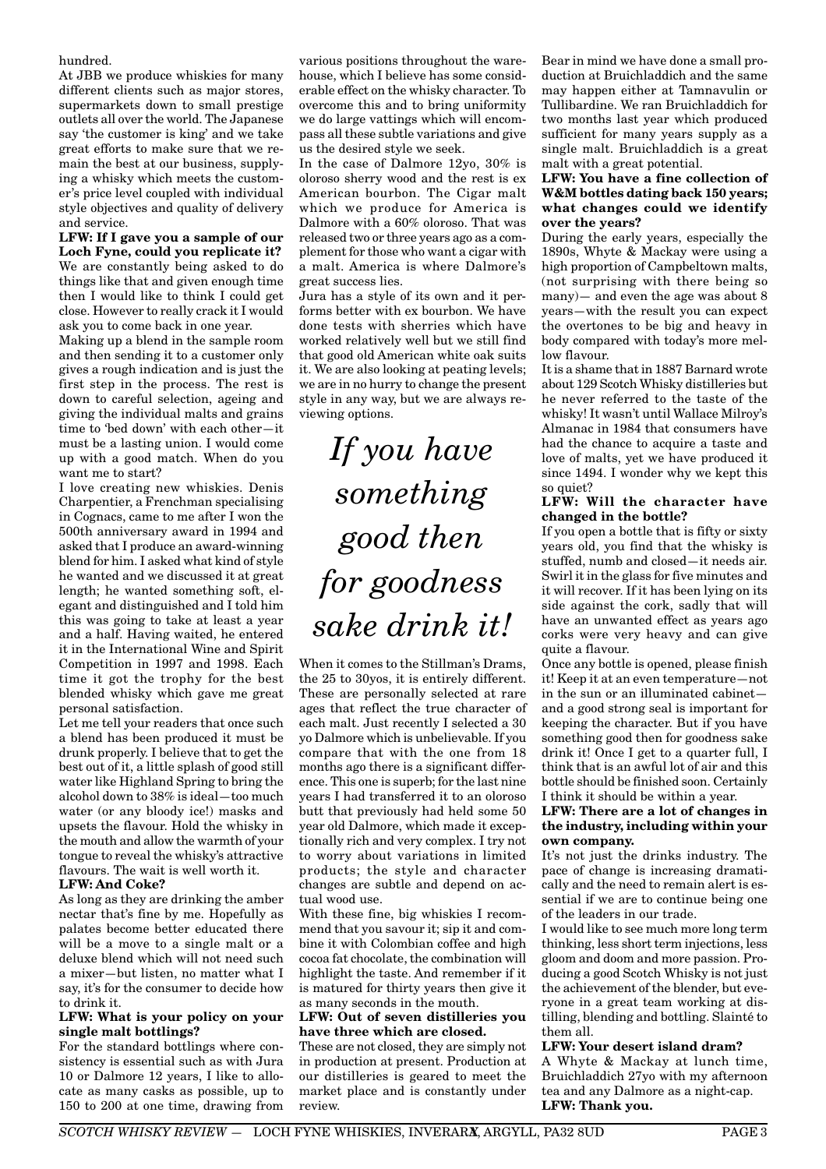hundred.

At JBB we produce whiskies for many different clients such as major stores. supermarkets down to small prestige outlets all over the world. The Japanese say 'the customer is king' and we take great efforts to make sure that we remain the best at our business, supplying a whisky which meets the customer's price level coupled with individual style objectives and quality of delivery and service.

**LFW: If I gave you a sample of our Loch Fyne, could you replicate it?** We are constantly being asked to do things like that and given enough time then I would like to think I could get close. However to really crack it I would ask you to come back in one year.

Making up a blend in the sample room and then sending it to a customer only gives a rough indication and is just the first step in the process. The rest is down to careful selection, ageing and giving the individual malts and grains time to 'bed down' with each other—it must be a lasting union. I would come up with a good match. When do you want me to start?

I love creating new whiskies. Denis Charpentier, a Frenchman specialising in Cognacs, came to me after I won the 500th anniversary award in 1994 and asked that I produce an award-winning blend for him. I asked what kind of style he wanted and we discussed it at great length; he wanted something soft, elegant and distinguished and I told him this was going to take at least a year and a half. Having waited, he entered it in the International Wine and Spirit Competition in 1997 and 1998. Each time it got the trophy for the best blended whisky which gave me great personal satisfaction.

Let me tell your readers that once such a blend has been produced it must be drunk properly. I believe that to get the best out of it, a little splash of good still water like Highland Spring to bring the alcohol down to 38% is ideal—too much water (or any bloody ice!) masks and upsets the flavour. Hold the whisky in the mouth and allow the warmth of your tongue to reveal the whisky's attractive flavours. The wait is well worth it.

### **LFW: And Coke?**

As long as they are drinking the amber nectar that's fine by me. Hopefully as palates become better educated there will be a move to a single malt or a deluxe blend which will not need such a mixer—but listen, no matter what I say, it's for the consumer to decide how to drink it.

#### **LFW: What is your policy on your single malt bottlings?**

For the standard bottlings where consistency is essential such as with Jura 10 or Dalmore 12 years, I like to allocate as many casks as possible, up to 150 to 200 at one time, drawing from

various positions throughout the warehouse, which I believe has some considerable effect on the whisky character. To overcome this and to bring uniformity we do large vattings which will encompass all these subtle variations and give us the desired style we seek.

In the case of Dalmore 12yo, 30% is oloroso sherry wood and the rest is ex American bourbon. The Cigar malt which we produce for America is Dalmore with a 60% oloroso. That was released two or three years ago as a complement for those who want a cigar with a malt. America is where Dalmore's great success lies.

Jura has a style of its own and it performs better with ex bourbon. We have done tests with sherries which have worked relatively well but we still find that good old American white oak suits it. We are also looking at peating levels; we are in no hurry to change the present style in any way, but we are always reviewing options.

# *If you have something good then for goodness sake drink it!*

When it comes to the Stillman's Drams, the 25 to 30yos, it is entirely different. These are personally selected at rare ages that reflect the true character of each malt. Just recently I selected a 30 yo Dalmore which is unbelievable. If you compare that with the one from 18 months ago there is a significant difference. This one is superb; for the last nine years I had transferred it to an oloroso butt that previously had held some 50 year old Dalmore, which made it exceptionally rich and very complex. I try not to worry about variations in limited products; the style and character changes are subtle and depend on actual wood use.

With these fine, big whiskies I recommend that you savour it; sip it and combine it with Colombian coffee and high cocoa fat chocolate, the combination will highlight the taste. And remember if it is matured for thirty years then give it as many seconds in the mouth.

#### **LFW: Out of seven distilleries you have three which are closed.**

These are not closed, they are simply not in production at present. Production at our distilleries is geared to meet the market place and is constantly under review.

Bear in mind we have done a small production at Bruichladdich and the same may happen either at Tamnavulin or Tullibardine. We ran Bruichladdich for two months last year which produced sufficient for many years supply as a single malt. Bruichladdich is a great malt with a great potential.

#### **LFW: You have a fine collection of W&M bottles dating back 150 years; what changes could we identify over the years?**

During the early years, especially the 1890s, Whyte & Mackay were using a high proportion of Campbeltown malts, (not surprising with there being so many)— and even the age was about 8 years—with the result you can expect the overtones to be big and heavy in body compared with today's more mellow flavour.

It is a shame that in 1887 Barnard wrote about 129 Scotch Whisky distilleries but he never referred to the taste of the whisky! It wasn't until Wallace Milroy's Almanac in 1984 that consumers have had the chance to acquire a taste and love of malts, yet we have produced it since 1494. I wonder why we kept this so quiet?

#### **LFW: Will the character have changed in the bottle?**

If you open a bottle that is fifty or sixty years old, you find that the whisky is stuffed, numb and closed—it needs air. Swirl it in the glass for five minutes and it will recover. If it has been lying on its side against the cork, sadly that will have an unwanted effect as years ago corks were very heavy and can give quite a flavour.

Once any bottle is opened, please finish it! Keep it at an even temperature—not in the sun or an illuminated cabinet and a good strong seal is important for keeping the character. But if you have something good then for goodness sake drink it! Once I get to a quarter full, I think that is an awful lot of air and this bottle should be finished soon. Certainly I think it should be within a year.

**LFW: There are a lot of changes in the industry, including within your own company.**

It's not just the drinks industry. The pace of change is increasing dramatically and the need to remain alert is essential if we are to continue being one of the leaders in our trade.

I would like to see much more long term thinking, less short term injections, less gloom and doom and more passion. Producing a good Scotch Whisky is not just the achievement of the blender, but everyone in a great team working at distilling, blending and bottling. Slainté to them all.

### **LFW: Your desert island dram?**

A Whyte & Mackay at lunch time, Bruichladdich 27yo with my afternoon tea and any Dalmore as a night-cap. **LFW: Thank you.**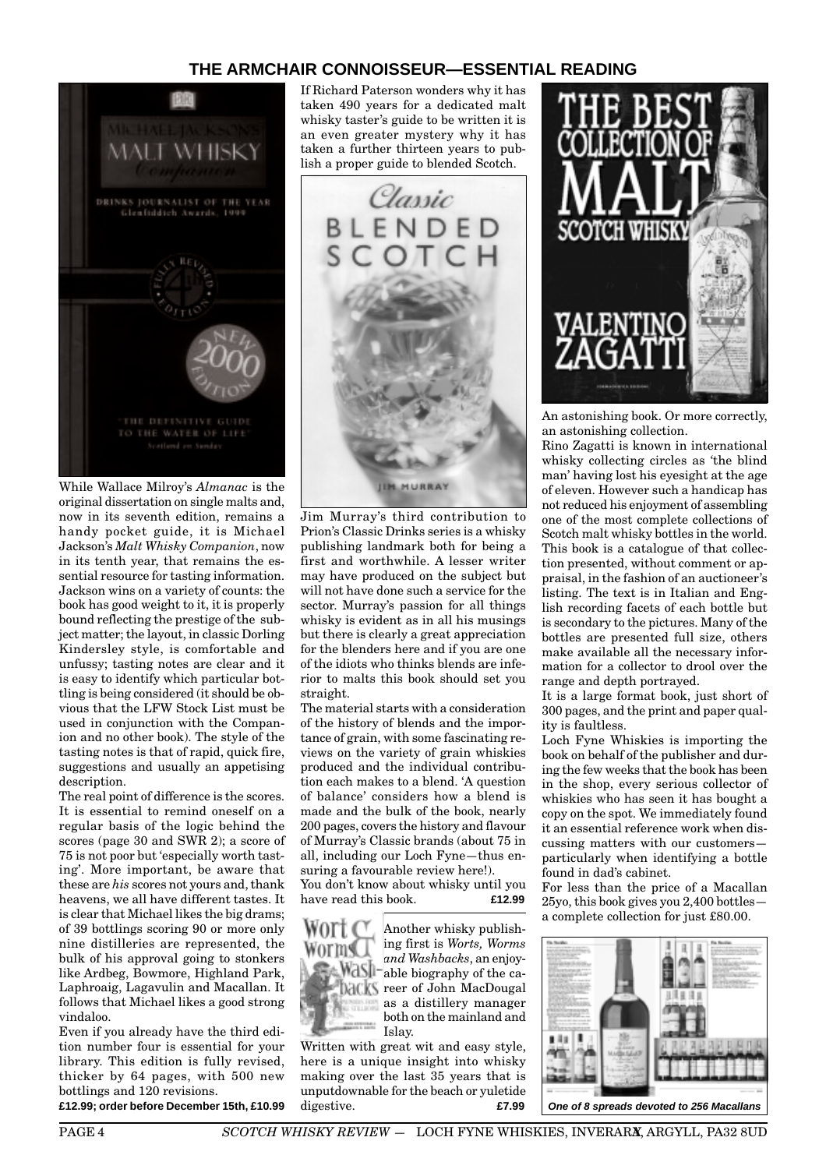# **THE ARMCHAIR CONNOISSEUR—ESSENTIAL READING**



While Wallace Milroy's *Almanac* is the original dissertation on single malts and, now in its seventh edition, remains a handy pocket guide, it is Michael Jackson's *Malt Whisky Companion*, now in its tenth year, that remains the essential resource for tasting information. Jackson wins on a variety of counts: the book has good weight to it, it is properly bound reflecting the prestige of the subject matter; the layout, in classic Dorling Kindersley style, is comfortable and unfussy; tasting notes are clear and it is easy to identify which particular bottling is being considered (it should be obvious that the LFW Stock List must be used in conjunction with the Companion and no other book). The style of the tasting notes is that of rapid, quick fire, suggestions and usually an appetising description.

The real point of difference is the scores. It is essential to remind oneself on a regular basis of the logic behind the scores (page 30 and SWR 2); a score of 75 is not poor but 'especially worth tasting'. More important, be aware that these are *his* scores not yours and, thank heavens, we all have different tastes. It is clear that Michael likes the big drams; of 39 bottlings scoring 90 or more only nine distilleries are represented, the bulk of his approval going to stonkers like Ardbeg, Bowmore, Highland Park, Laphroaig, Lagavulin and Macallan. It follows that Michael likes a good strong vindaloo.

Even if you already have the third edition number four is essential for your library. This edition is fully revised, thicker by 64 pages, with 500 new bottlings and 120 revisions.

**£12.99; order before December 15th, £10.99**

If Richard Paterson wonders why it has taken 490 years for a dedicated malt whisky taster's guide to be written it is an even greater mystery why it has taken a further thirteen years to publish a proper guide to blended Scotch.



Jim Murray's third contribution to Prion's Classic Drinks series is a whisky publishing landmark both for being a first and worthwhile. A lesser writer may have produced on the subject but will not have done such a service for the sector. Murray's passion for all things whisky is evident as in all his musings but there is clearly a great appreciation for the blenders here and if you are one of the idiots who thinks blends are inferior to malts this book should set you straight.

The material starts with a consideration of the history of blends and the importance of grain, with some fascinating reviews on the variety of grain whiskies produced and the individual contribution each makes to a blend. 'A question of balance' considers how a blend is made and the bulk of the book, nearly 200 pages, covers the history and flavour of Murray's Classic brands (about 75 in all, including our Loch Fyne—thus ensuring a favourable review here!).

You don't know about whisky until you have read this book. **£12.99**



Another whisky publishing first is *Worts, Worms and Washbacks*, an enjoy-MdS<sup>1-</sup>able biography of the career of John MacDougal as a distillery manager both on the mainland and Islay.

Written with great wit and easy style, here is a unique insight into whisky making over the last 35 years that is unputdownable for the beach or yuletide digestive. **£7.99**



An astonishing book. Or more correctly, an astonishing collection.

Rino Zagatti is known in international whisky collecting circles as 'the blind man' having lost his eyesight at the age of eleven. However such a handicap has not reduced his enjoyment of assembling one of the most complete collections of Scotch malt whisky bottles in the world. This book is a catalogue of that collection presented, without comment or appraisal, in the fashion of an auctioneer's listing. The text is in Italian and English recording facets of each bottle but is secondary to the pictures. Many of the bottles are presented full size, others make available all the necessary information for a collector to drool over the range and depth portrayed.

It is a large format book, just short of 300 pages, and the print and paper quality is faultless.

Loch Fyne Whiskies is importing the book on behalf of the publisher and during the few weeks that the book has been in the shop, every serious collector of whiskies who has seen it has bought a copy on the spot. We immediately found it an essential reference work when discussing matters with our customers particularly when identifying a bottle found in dad's cabinet.

For less than the price of a Macallan 25yo, this book gives you 2,400 bottles a complete collection for just £80.00.



PAGE 4 *SCOTCH WHISKY REVIEW* - LOCH FYNE WHISKIES, INVERARX, ARGYLL, PA32 8UD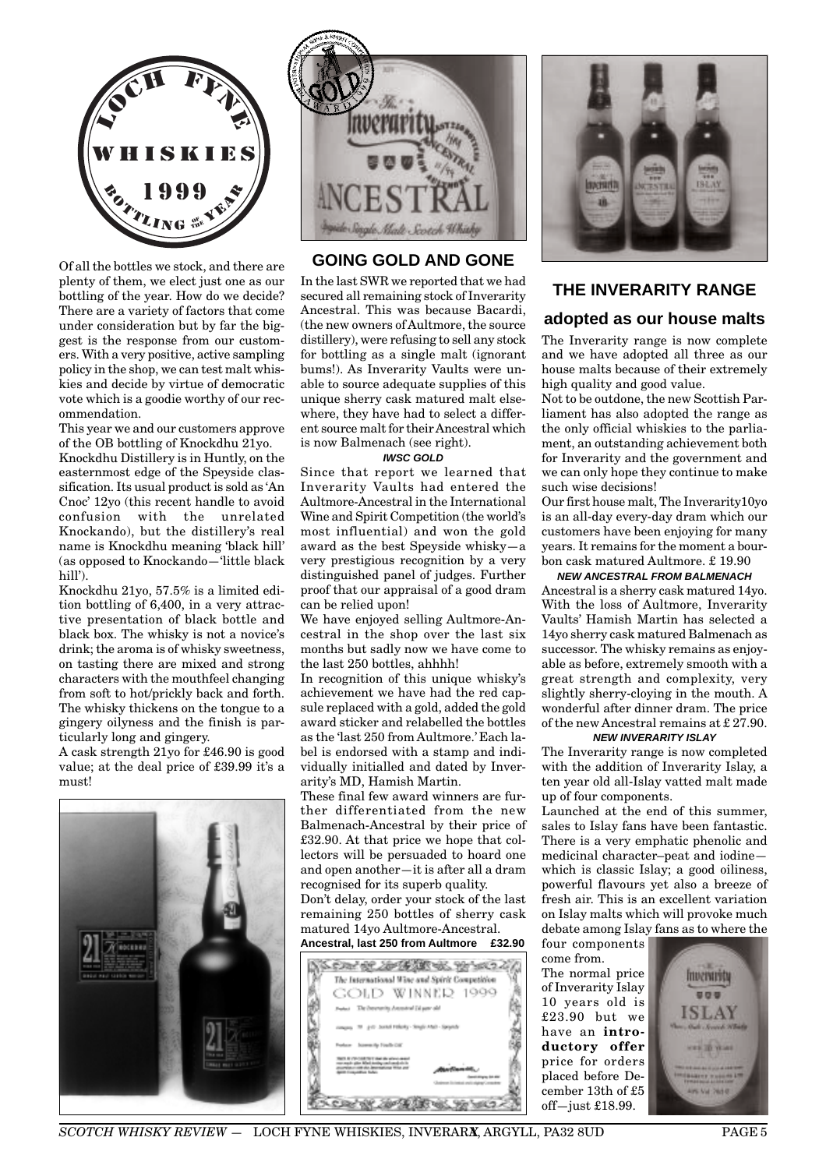

Of all the bottles we stock, and there are plenty of them, we elect just one as our bottling of the year. How do we decide? There are a variety of factors that come under consideration but by far the biggest is the response from our customers. With a very positive, active sampling policy in the shop, we can test malt whiskies and decide by virtue of democratic vote which is a goodie worthy of our recommendation.

This year we and our customers approve of the OB bottling of Knockdhu 21yo.

Knockdhu Distillery is in Huntly, on the easternmost edge of the Speyside classification. Its usual product is sold as 'An Cnoc' 12yo (this recent handle to avoid confusion with the unrelated Knockando), but the distillery's real name is Knockdhu meaning 'black hill' (as opposed to Knockando—'little black hill').

Knockdhu 21yo, 57.5% is a limited edition bottling of 6,400, in a very attractive presentation of black bottle and black box. The whisky is not a novice's drink; the aroma is of whisky sweetness, on tasting there are mixed and strong characters with the mouthfeel changing from soft to hot/prickly back and forth. The whisky thickens on the tongue to a gingery oilyness and the finish is particularly long and gingery.

A cask strength 21yo for £46.90 is good value; at the deal price of £39.99 it's a must!





# **GOING GOLD AND GONE**

In the last SWR we reported that we had secured all remaining stock of Inverarity Ancestral. This was because Bacardi, (the new owners of Aultmore, the source distillery), were refusing to sell any stock for bottling as a single malt (ignorant bums!). As Inverarity Vaults were unable to source adequate supplies of this unique sherry cask matured malt elsewhere, they have had to select a different source malt for their Ancestral which is now Balmenach (see right).

#### **IWSC GOLD**

Since that report we learned that Inverarity Vaults had entered the Aultmore-Ancestral in the International Wine and Spirit Competition (the world's most influential) and won the gold award as the best Speyside whisky—a very prestigious recognition by a very distinguished panel of judges. Further proof that our appraisal of a good dram can be relied upon!

We have enjoyed selling Aultmore-Ancestral in the shop over the last six months but sadly now we have come to the last 250 bottles, ahhhh!

In recognition of this unique whisky's achievement we have had the red capsule replaced with a gold, added the gold award sticker and relabelled the bottles as the 'last 250 from Aultmore.' Each label is endorsed with a stamp and individually initialled and dated by Inverarity's MD, Hamish Martin.

These final few award winners are further differentiated from the new Balmenach-Ancestral by their price of £32.90. At that price we hope that collectors will be persuaded to hoard one and open another—it is after all a dram recognised for its superb quality.

Don't delay, order your stock of the last remaining 250 bottles of sherry cask matured 14yo Aultmore-Ancestral.

# **Ancestral, last 250 from Aultmore £32.90**





## **THE INVERARITY RANGE**

# **adopted as our house malts**

The Inverarity range is now complete and we have adopted all three as our house malts because of their extremely high quality and good value.

Not to be outdone, the new Scottish Parliament has also adopted the range as the only official whiskies to the parliament, an outstanding achievement both for Inverarity and the government and we can only hope they continue to make such wise decisions!

Our first house malt, The Inverarity10yo is an all-day every-day dram which our customers have been enjoying for many years. It remains for the moment a bourbon cask matured Aultmore. £ 19.90

#### **NEW ANCESTRAL FROM BALMENACH**

Ancestral is a sherry cask matured 14yo. With the loss of Aultmore, Inverarity Vaults' Hamish Martin has selected a 14yo sherry cask matured Balmenach as successor. The whisky remains as enjoyable as before, extremely smooth with a great strength and complexity, very slightly sherry-cloying in the mouth. A wonderful after dinner dram. The price of the new Ancestral remains at £ 27.90.

#### **NEW INVERARITY ISLAY**

The Inverarity range is now completed with the addition of Inverarity Islay, a ten year old all-Islay vatted malt made up of four components.

Launched at the end of this summer, sales to Islay fans have been fantastic. There is a very emphatic phenolic and medicinal character–peat and iodine which is classic Islay; a good oiliness, powerful flavours yet also a breeze of fresh air. This is an excellent variation on Islay malts which will provoke much debate among Islay fans as to where the

four components come from. The normal price of Inverarity Islay 10 years old is £23.90 but we have an **introductory offer** price for orders placed before December 13th of £5 off-just  $£18.99$ .

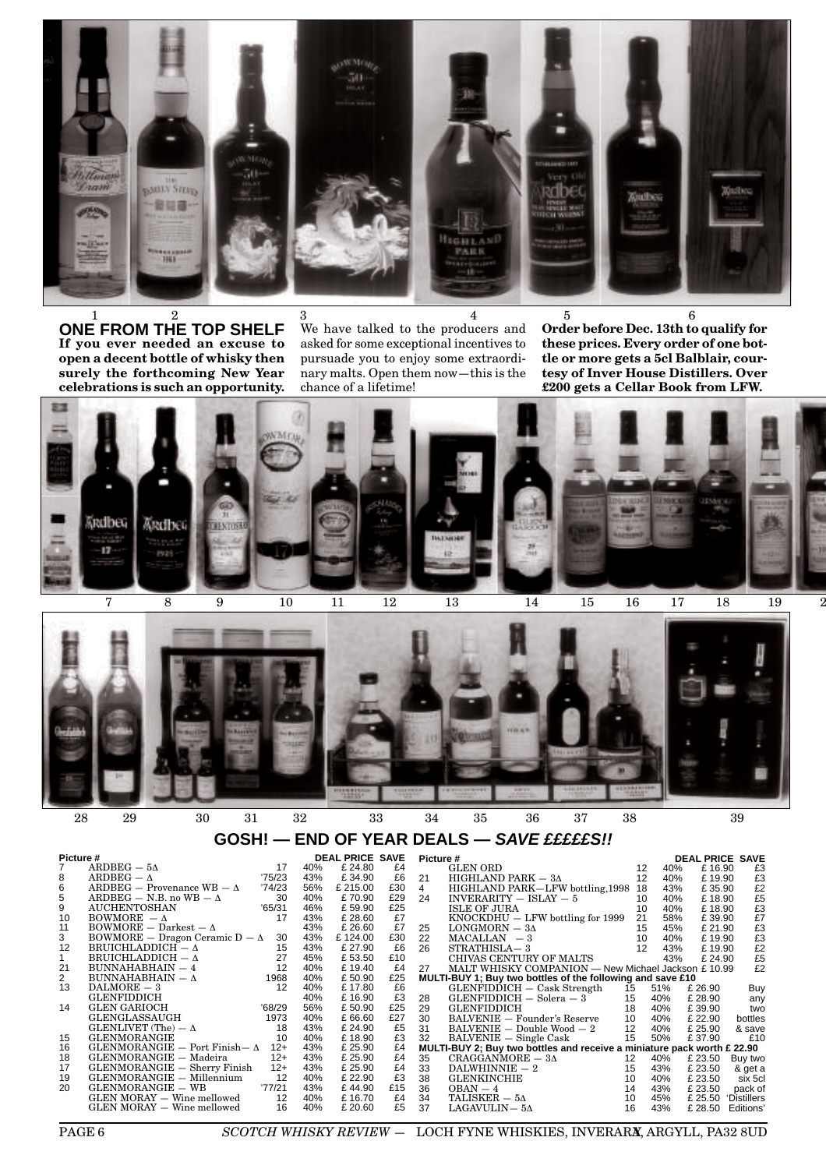

**ONE FROM THE TOP SHELF If you ever needed an excuse to open a decent bottle of whisky then surely the forthcoming New Year celebrations is such an opportunity.**  $1$  and  $2$  and  $3$  and  $4$  and  $5$  becomes  $1$  and  $2$  and  $3$  and  $4$  and  $5$  becomes  $6$ 

We have talked to the producers and asked for some exceptional incentives to pursuade you to enjoy some extraordinary malts. Open them now—this is the chance of a lifetime!

**Order before Dec. 13th to qualify for these prices. Every order of one bottle or more gets a 5cl Balblair, courtesy of Inver House Distillers. Over £200 gets a Cellar Book from LFW.**





# **GOSH! — END OF YEAR DEALS — SAVE £££££S!!**

| Picture #      |                                         | <b>DEAL PRICE SAVE</b> |     |          | <b>Picture #</b> |                |                                                                         | <b>DEAL PRICE SAVE</b> |     |         |                 |
|----------------|-----------------------------------------|------------------------|-----|----------|------------------|----------------|-------------------------------------------------------------------------|------------------------|-----|---------|-----------------|
|                | $ARDBEG - 5\Delta$                      | 17                     | 40% | £ 24.80  | £4               |                | GLEN ORD                                                                | 12                     | 40% | £16.90  | £З              |
| 8              | $ARDEFG = \Lambda$                      | 75/23                  | 43% | £34.90   | £6               | 21             | HIGHLAND PARK $-3\Delta$                                                | 12                     | 40% | £19.90  | £3              |
| 6              | $ARDBEG - Proveanace WB - \Delta$       | '74/23                 | 56% | £ 215.00 | £30              | $\overline{4}$ | HIGHLAND PARK-LFW bottling, 1998                                        | 18                     | 43% | £35.90  | £2              |
| 5              | ARDBEG – N.B. no WB – $\Delta$          | 30                     | 40% | £70.90   | £29              | 24             | $INVERARITY - ISLAY - 5$                                                | 10                     | 40% | £18.90  | £5              |
| 9              | <b>AUCHENTOSHAN</b>                     | '65/31                 | 46% | £59.90   | £25              |                | <b>ISLE OF JURA</b>                                                     | 10                     | 40% | £18.90  | £3              |
| 10             | $BOWMORE - \Delta$                      | 17                     | 43% | £ 28.60  | £7               |                | $KNOCKDHU - LFW$ bottling for 1999                                      | 21                     | 58% | £39.90  | £7              |
| 11             | $BOWMORE - Darkest - \Delta$            |                        | 43% | £ 26.60  | £7               | 25             | LONGMORN $-$ 3 $\Delta$                                                 | 15                     | 45% | £ 21.90 | £3              |
| 3              | $BOWMORE$ - Dragon Ceramic $D - \Delta$ | 30                     | 43% | £124.00  | £30              | 22             | $MACALLAN = 3$                                                          | 10                     | 40% | £19.90  | £3              |
| 12             | BRUICHLADDICH $-\Delta$                 | 15                     | 43% | £ 27.90  | £6               | 26             | STRATHISLA-3                                                            | 12                     | 43% | £19.90  | $\frac{£2}{£5}$ |
| $\mathbf{1}$   | BRUICHLADDICH $-\Delta$                 | 27                     | 45% | £53.50   | £10              |                | CHIVAS CENTURY OF MALTS                                                 |                        | 43% | £ 24.90 |                 |
| 21             | $BUNNAHABHAIN - 4$                      | 12                     | 40% | £19.40   | £4               | 27             | MALT WHISKY COMPANION - New Michael Jackson £10.99                      |                        |     |         | £2              |
| $\overline{2}$ | BUNNAHABHAIN $-\Delta$                  | 1968                   | 40% | £50.90   | £25              |                | MULTI-BUY 1; Buy two bottles of the following and save £10              |                        |     |         |                 |
| 13             | $DALMORE - 3$                           | 12                     | 40% | £17.80   | £6               |                | $GLENFIDDICH - Cash$ Strength                                           | 15                     | 51% | £ 26.90 | Buy             |
|                | <b>GLENFIDDICH</b>                      |                        | 40% | £16.90   | £3               | 28             | $GLENFIDDICH-Solera-3$                                                  | 15                     | 40% | £ 28.90 | any             |
| 14             | <b>GLEN GARIOCH</b>                     | '68/29                 | 56% | £50.90   | £25              | 29             | <b>GLENFIDDICH</b>                                                      | 18                     | 40% | £39.90  | two             |
|                | GLENGLASSAUGH                           | 1973                   | 40% | £66.60   | £27              | 30             | <b>BALVENIE</b> - Founder's Reserve                                     | 10                     | 40% | £ 22.90 | bottles         |
|                | GLENLIVET (The) $-\Delta$               | 18                     | 43% | £ 24.90  | £5               | 31             | $BALVENIE - Double Wood - 2$                                            | 12                     | 40% | £ 25.90 | & save          |
| 15             | <b>GLENMORANGIE</b>                     | 10                     | 40% | £18.90   | £3               | 32             | $BALVENIE - Single Cash$                                                | 15                     | 50% | £37.90  | £10             |
| 16             | GLENMORANGIE - Port Finish - $\Delta$   | $12+$                  | 43% | £ 25.90  | £4               |                | MULTI-BUY 2; Buy two bottles and receive a miniature pack worth £ 22.90 |                        |     |         |                 |
| 18             | GLENMORANGIE - Madeira                  | $12+$                  | 43% | £ 25.90  | £4               | 35             | $CRAGGANMORE-3\Delta$                                                   | 12                     | 40% | £ 23.50 | Buy two         |
| 17             | GLENMORANGIE - Sherry Finish            | $12+$                  | 43% | £ 25.90  | £4               | 33             | $DALWHINNIE-2$                                                          | 15                     | 43% | £ 23.50 | & get a         |
| 19             | GLENMORANGIE - Millennium               | 12                     | 40% | £ 22.90  | £3               | 38             | <b>GLENKINCHIE</b>                                                      | 10                     | 40% | £ 23.50 | six 5cl         |
| 20             | GLENMORANGIE - WB                       | '77/21                 | 43% | £44.90   | £15              | 36             | $OBAN - 4$                                                              | 14                     | 43% | £ 23.50 | pack of         |
|                | GLEN MORAY - Wine mellowed              | 12                     | 40% | £16.70   | £4               | 34             | TALISKER $-5\Delta$                                                     | 10                     | 45% | £ 25.50 | 'Distillers     |
|                | GLEN MORAY - Wine mellowed              | 16                     | 40% | £ 20.60  | £5               | 37             | $LAGAVULIN- 5Δ$                                                         | 16                     | 43% | £ 28.50 | Editions'       |

**PAGE 6** *SCOTCH WHISKY REVIEW* - LOCH FYNE WHISKIES, INVERARA, ARGYLL, PA32 8UD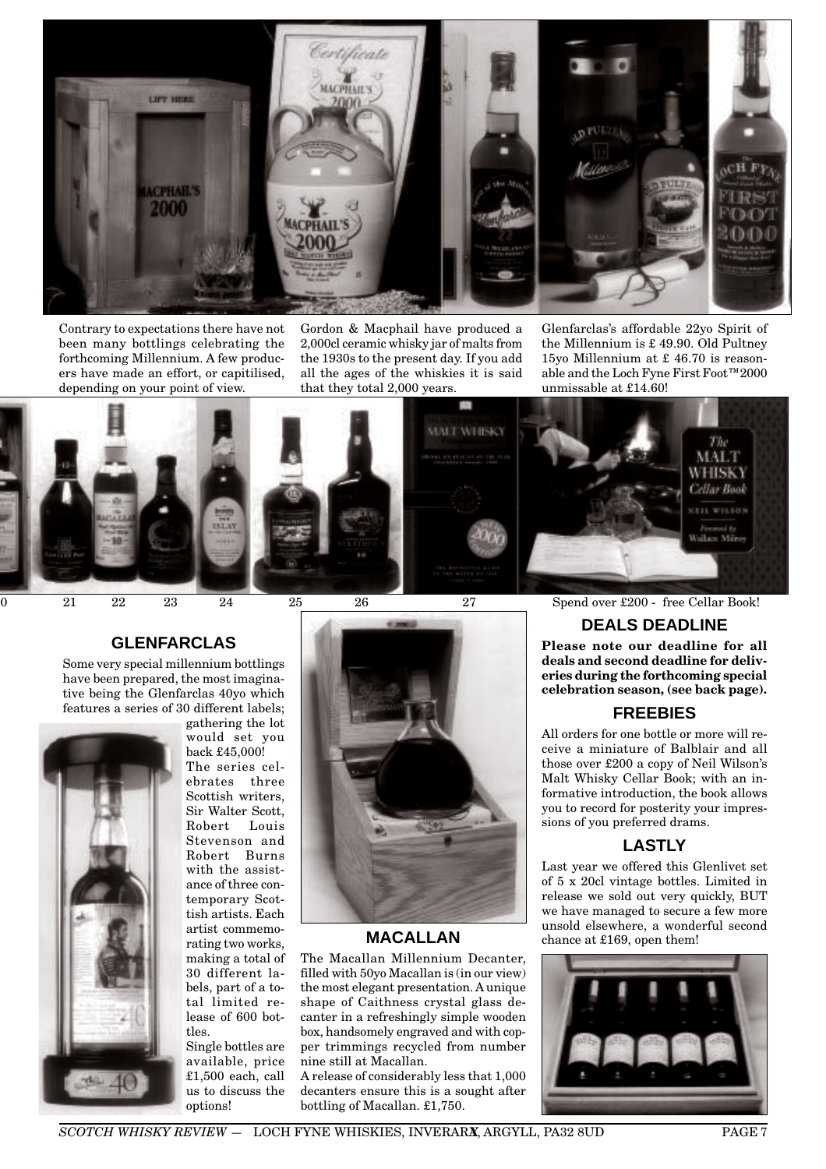

Contrary to expectations there have not been many bottlings celebrating the forthcoming Millennium. A few producers have made an effort, or capitilised, depending on your point of view.

Gordon & Macphail have produced a 2,000cl ceramic whisky jar of malts from the 1930s to the present day. If you add all the ages of the whiskies it is said that they total 2,000 years.

Glenfarclas's affordable 22yo Spirit of the Millennium is £ 49.90. Old Pultney 15yo Millennium at £ 46.70 is reasonable and the Loch Fyne First Foot™2000 unmissable at £14.60!



### **GLENFARCLAS**

Some very special millennium bottlings have been prepared, the most imaginative being the Glenfarclas 40yo which features a series of 30 different labels;



gathering the lot would set you back £45,000! The series celebrates three Scottish writers, Sir Walter Scott, Robert Stevenson and Robert Burns with the assistance of three contemporary Scottish artists. Each artist commemorating two works, making a total of 30 different labels, part of a total limited release of 600 bottles.

Single bottles are available, price £1,500 each, call us to discuss the options!



# **MACALLAN**

The Macallan Millennium Decanter, filled with 50yo Macallan is (in our view) the most elegant presentation. A unique shape of Caithness crystal glass decanter in a refreshingly simple wooden box, handsomely engraved and with copper trimmings recycled from number nine still at Macallan.

A release of considerably less that 1,000 decanters ensure this is a sought after bottling of Macallan. £1,750.

0 21 22 23 24 25 26 27 Spend over £200 - free Cellar Book!

# **DEALS DEADLINE**

**Please note our deadline for all deals and second deadline for deliveries during the forthcoming special celebration season, (see back page).**

## **FREEBIES**

All orders for one bottle or more will receive a miniature of Balblair and all those over £200 a copy of Neil Wilson's Malt Whisky Cellar Book; with an informative introduction, the book allows you to record for posterity your impressions of you preferred drams.

# **LASTLY**

Last year we offered this Glenlivet set of 5 x 20cl vintage bottles. Limited in release we sold out very quickly, BUT we have managed to secure a few more unsold elsewhere, a wonderful second chance at £169, open them!

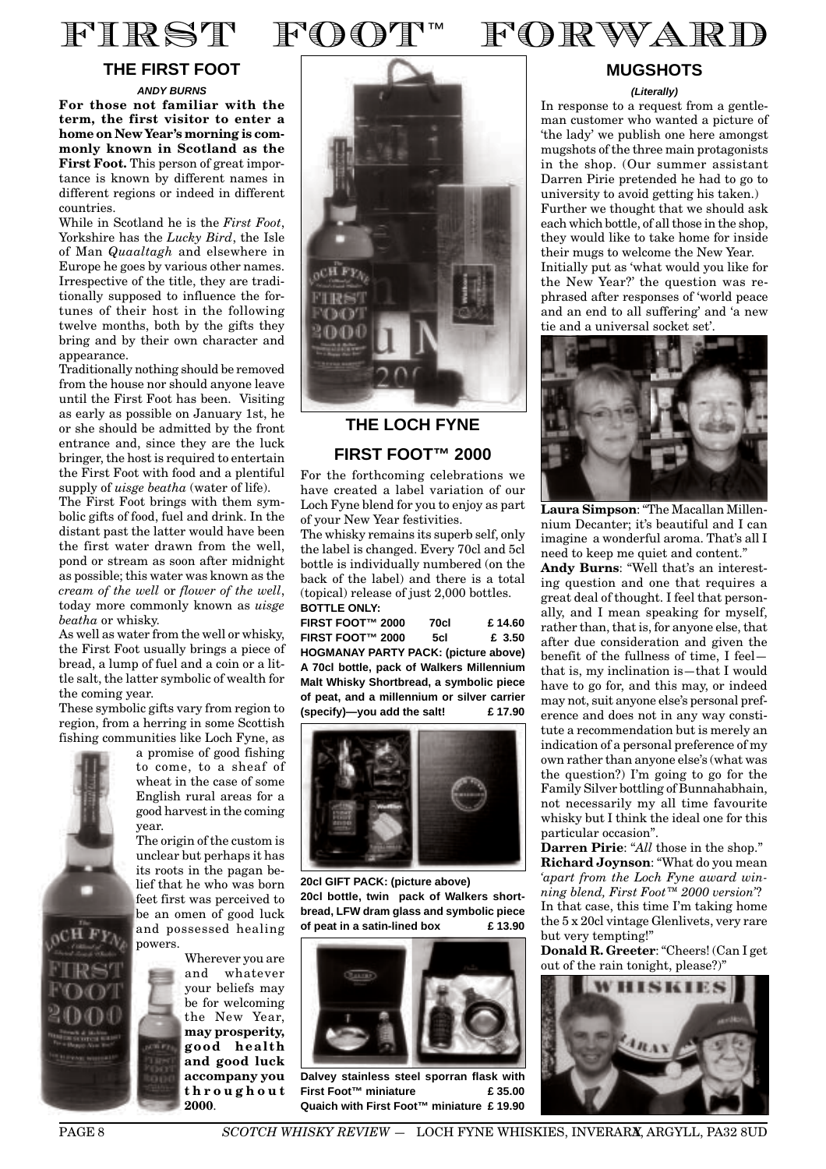

# **THE FIRST FOOT**

**ANDY BURNS For those not familiar with the term, the first visitor to enter a home on New Year's morning is commonly known in Scotland as the First Foot.** This person of great importance is known by different names in different regions or indeed in different countries.

While in Scotland he is the *First Foot*, Yorkshire has the *Lucky Bird*, the Isle of Man *Quaaltagh* and elsewhere in Europe he goes by various other names. Irrespective of the title, they are traditionally supposed to influence the fortunes of their host in the following twelve months, both by the gifts they bring and by their own character and appearance.

Traditionally nothing should be removed from the house nor should anyone leave until the First Foot has been. Visiting as early as possible on January 1st, he or she should be admitted by the front entrance and, since they are the luck bringer, the host is required to entertain the First Foot with food and a plentiful supply of *uisge beatha* (water of life).

The First Foot brings with them symbolic gifts of food, fuel and drink. In the distant past the latter would have been the first water drawn from the well, pond or stream as soon after midnight as possible; this water was known as the *cream of the well* or *flower of the well*, today more commonly known as *uisge beatha* or whisky.

As well as water from the well or whisky, the First Foot usually brings a piece of bread, a lump of fuel and a coin or a little salt, the latter symbolic of wealth for the coming year.

These symbolic gifts vary from region to region, from a herring in some Scottish fishing communities like Loch Fyne, as



a promise of good fishing to come, to a sheaf of wheat in the case of some English rural areas for a good harvest in the coming year.

The origin of the custom is unclear but perhaps it has its roots in the pagan belief that he who was born feet first was perceived to be an omen of good luck and possessed healing powers.

> Wherever you are and whatever your beliefs may be for welcoming the New Year, **may prosperity, good health and good luck accompany you throughout 2000**.



# **THE LOCH FYNE**

# **FIRST FOOT™ 2000**

For the forthcoming celebrations we have created a label variation of our Loch Fyne blend for you to enjoy as part of your New Year festivities.

The whisky remains its superb self, only the label is changed. Every 70cl and 5cl bottle is individually numbered (on the back of the label) and there is a total (topical) release of just 2,000 bottles. **BOTTLE ONLY:**

**FIRST FOOT™ 2000 70cl £ 14.60 FIRST FOOT™ 2000 5cl £ 3.50 HOGMANAY PARTY PACK: (picture above) A 70cl bottle, pack of Walkers Millennium Malt Whisky Shortbread, a symbolic piece of peat, and a millennium or silver carrier (specify)—you add the salt! £ 17.90**



**20cl GIFT PACK: (picture above) 20cl bottle, twin pack of Walkers shortbread, LFW dram glass and symbolic piece of peat in a satin-lined box £ 13.90**



**Dalvey stainless steel sporran flask with First Foot™ miniature £ 35.00 Quaich with First Foot™ miniature £ 19.90**



# **MUGSHOTS**

#### **(Literally)**

In response to a request from a gentleman customer who wanted a picture of 'the lady' we publish one here amongst mugshots of the three main protagonists in the shop. (Our summer assistant Darren Pirie pretended he had to go to university to avoid getting his taken.) Further we thought that we should ask each which bottle, of all those in the shop, they would like to take home for inside their mugs to welcome the New Year. Initially put as 'what would you like for the New Year?' the question was rephrased after responses of 'world peace and an end to all suffering' and 'a new tie and a universal socket set'.



**Laura Simpson**: "The Macallan Millennium Decanter; it's beautiful and I can imagine a wonderful aroma. That's all I need to keep me quiet and content."

**Andy Burns**: "Well that's an interesting question and one that requires a great deal of thought. I feel that personally, and I mean speaking for myself, rather than, that is, for anyone else, that after due consideration and given the benefit of the fullness of time, I feel that is, my inclination is—that I would have to go for, and this may, or indeed may not, suit anyone else's personal preference and does not in any way constitute a recommendation but is merely an indication of a personal preference of my own rather than anyone else's (what was the question?) I'm going to go for the Family Silver bottling of Bunnahabhain, not necessarily my all time favourite whisky but I think the ideal one for this particular occasion".

**Darren Pirie**: "*All* those in the shop." **Richard Joynson**: "What do you mean *'apart from the Loch Fyne award winning blend, First Foot™ 2000 version'*? In that case, this time I'm taking home the 5 x 20cl vintage Glenlivets, very rare but very tempting!"

**Donald R. Greeter**: "Cheers! (Can I get out of the rain tonight, please?)"

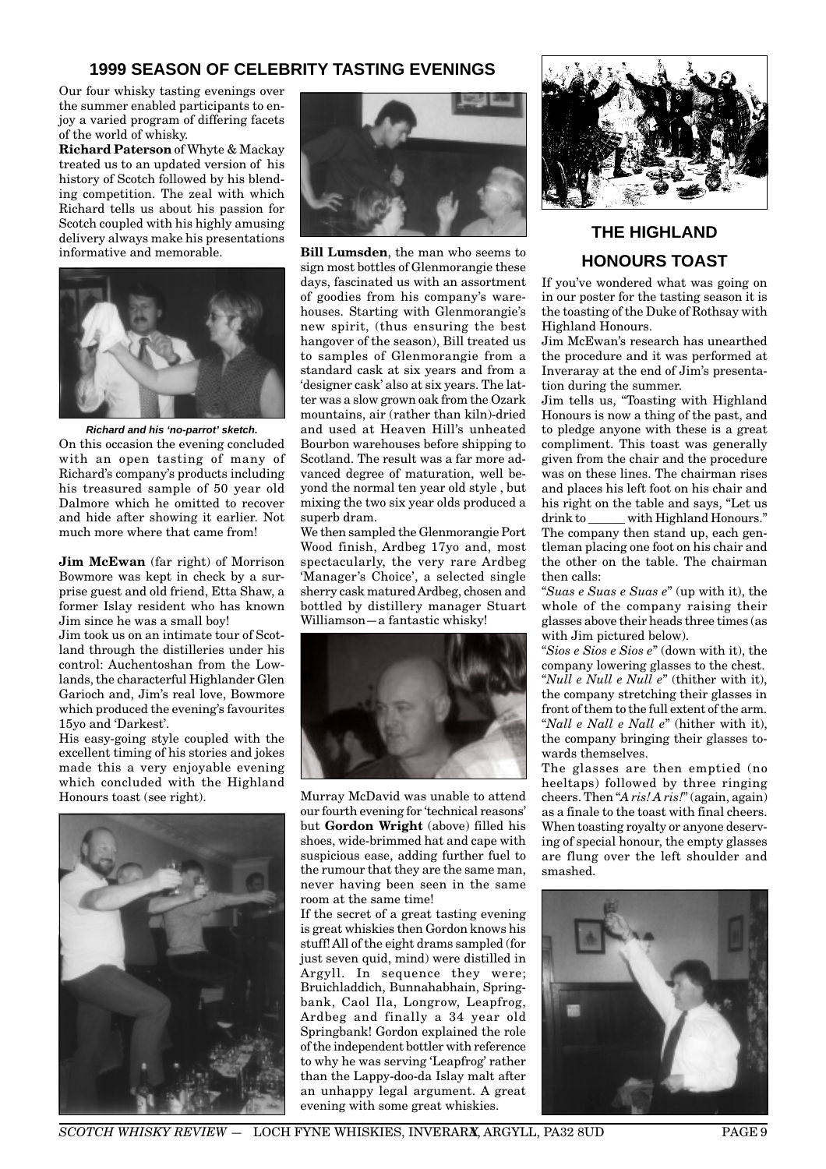# **1999 SEASON OF CELEBRITY TASTING EVENINGS**

Our four whisky tasting evenings over the summer enabled participants to enjoy a varied program of differing facets of the world of whisky.

**Richard Paterson** of Whyte & Mackay treated us to an updated version of his history of Scotch followed by his blending competition. The zeal with which Richard tells us about his passion for Scotch coupled with his highly amusing delivery always make his presentations informative and memorable.



**Richard and his 'no-parrot' sketch.**

On this occasion the evening concluded with an open tasting of many of Richard's company's products including his treasured sample of 50 year old Dalmore which he omitted to recover and hide after showing it earlier. Not much more where that came from!

**Jim McEwan** (far right) of Morrison Bowmore was kept in check by a surprise guest and old friend, Etta Shaw, a former Islay resident who has known Jim since he was a small boy!

Jim took us on an intimate tour of Scotland through the distilleries under his control: Auchentoshan from the Lowlands, the characterful Highlander Glen Garioch and, Jim's real love, Bowmore which produced the evening's favourites 15yo and 'Darkest'.

His easy-going style coupled with the excellent timing of his stories and jokes made this a very enjoyable evening which concluded with the Highland Honours toast (see right).





**Bill Lumsden**, the man who seems to sign most bottles of Glenmorangie these days, fascinated us with an assortment of goodies from his company's warehouses. Starting with Glenmorangie's new spirit, (thus ensuring the best hangover of the season), Bill treated us to samples of Glenmorangie from a standard cask at six years and from a 'designer cask' also at six years. The latter was a slow grown oak from the Ozark mountains, air (rather than kiln)-dried and used at Heaven Hill's unheated Bourbon warehouses before shipping to Scotland. The result was a far more advanced degree of maturation, well beyond the normal ten year old style , but mixing the two six year olds produced a superb dram.

We then sampled the Glenmorangie Port Wood finish, Ardbeg 17yo and, most spectacularly, the very rare Ardbeg 'Manager's Choice', a selected single sherry cask matured Ardbeg, chosen and bottled by distillery manager Stuart Williamson—a fantastic whisky!



Murray McDavid was unable to attend our fourth evening for 'technical reasons' but **Gordon Wright** (above) filled his shoes, wide-brimmed hat and cape with suspicious ease, adding further fuel to the rumour that they are the same man, never having been seen in the same room at the same time!

If the secret of a great tasting evening is great whiskies then Gordon knows his stuff! All of the eight drams sampled (for just seven quid, mind) were distilled in Argyll. In sequence they were; Bruichladdich, Bunnahabhain, Springbank, Caol Ila, Longrow, Leapfrog, Ardbeg and finally a 34 year old Springbank! Gordon explained the role of the independent bottler with reference to why he was serving 'Leapfrog' rather than the Lappy-doo-da Islay malt after an unhappy legal argument. A great evening with some great whiskies.



# **THE HIGHLAND HONOURS TOAST**

If you've wondered what was going on in our poster for the tasting season it is the toasting of the Duke of Rothsay with Highland Honours.

Jim McEwan's research has unearthed the procedure and it was performed at Inveraray at the end of Jim's presentation during the summer.

Jim tells us, "Toasting with Highland Honours is now a thing of the past, and to pledge anyone with these is a great compliment. This toast was generally given from the chair and the procedure was on these lines. The chairman rises and places his left foot on his chair and his right on the table and says, "Let us drink to with Highland Honours." The company then stand up, each gentleman placing one foot on his chair and the other on the table. The chairman then calls:

"*Suas e Suas e Suas e*" (up with it), the whole of the company raising their glasses above their heads three times (as with Jim pictured below).

"*Sios e Sios e Sios e*" (down with it), the company lowering glasses to the chest. "*Null e Null e Null e*" (thither with it), the company stretching their glasses in front of them to the full extent of the arm. "*Nall e Nall e Nall e*" (hither with it), the company bringing their glasses towards themselves.

The glasses are then emptied (no heeltaps) followed by three ringing cheers. Then "*A ris! A ris!*" (again, again) as a finale to the toast with final cheers. When toasting royalty or anyone deserving of special honour, the empty glasses are flung over the left shoulder and smashed.

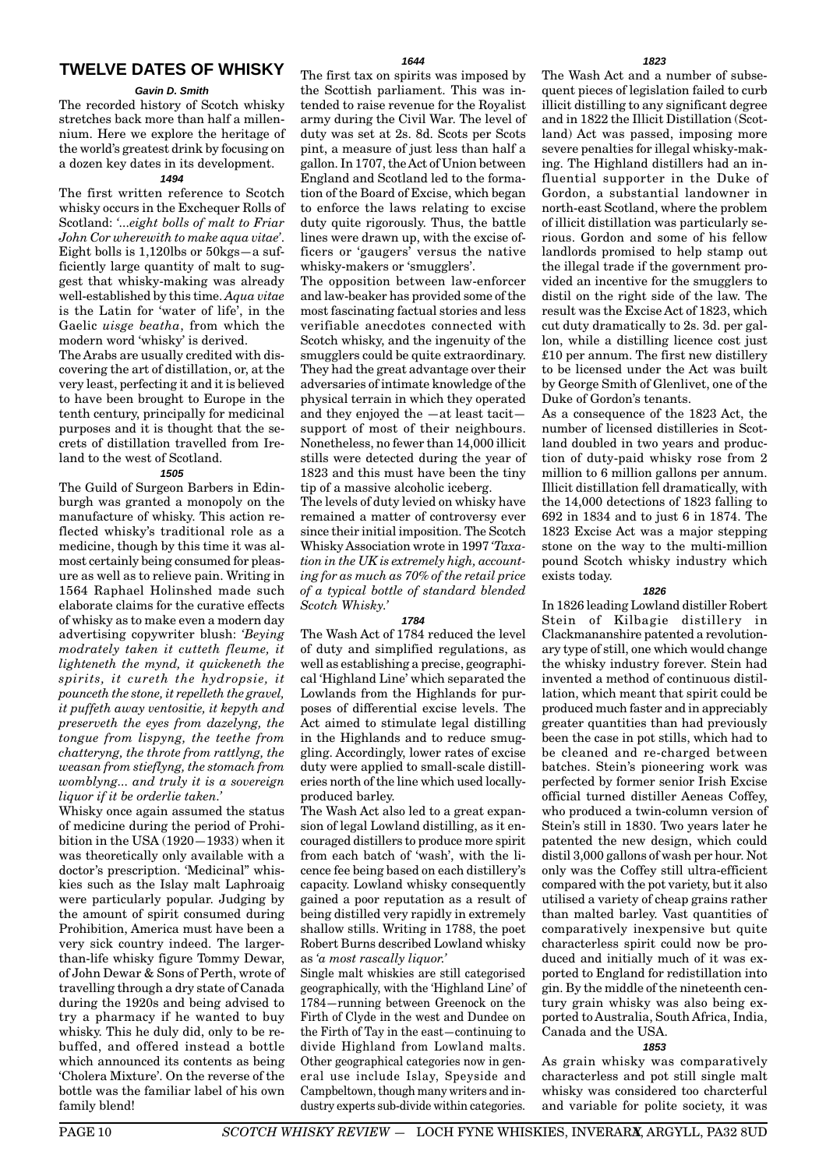# **TWELVE DATES OF WHISKY**

#### **Gavin D. Smith**

The recorded history of Scotch whisky stretches back more than half a millennium. Here we explore the heritage of the world's greatest drink by focusing on a dozen key dates in its development.

#### **1494**

The first written reference to Scotch whisky occurs in the Exchequer Rolls of Scotland: *'...eight bolls of malt to Friar John Cor wherewith to make aqua vitae'*. Eight bolls is  $1.120$ lbs or  $50$ kgs—a sufficiently large quantity of malt to suggest that whisky-making was already well-established by this time. *Aqua vitae* is the Latin for 'water of life', in the Gaelic *uisge beatha*, from which the modern word 'whisky' is derived.

The Arabs are usually credited with discovering the art of distillation, or, at the very least, perfecting it and it is believed to have been brought to Europe in the tenth century, principally for medicinal purposes and it is thought that the secrets of distillation travelled from Ireland to the west of Scotland.

#### **1505**

The Guild of Surgeon Barbers in Edinburgh was granted a monopoly on the manufacture of whisky. This action reflected whisky's traditional role as a medicine, though by this time it was almost certainly being consumed for pleasure as well as to relieve pain. Writing in 1564 Raphael Holinshed made such elaborate claims for the curative effects of whisky as to make even a modern day advertising copywriter blush: *'Beying modrately taken it cutteth fleume, it lighteneth the mynd, it quickeneth the spirits, it cureth the hydropsie, it pounceth the stone, it repelleth the gravel, it puffeth away ventositie, it kepyth and preserveth the eyes from dazelyng, the tongue from lispyng, the teethe from chatteryng, the throte from rattlyng, the weasan from stieflyng, the stomach from womblyng... and truly it is a sovereign liquor if it be orderlie taken.'*

Whisky once again assumed the status of medicine during the period of Prohibition in the USA (1920—1933) when it was theoretically only available with a doctor's prescription. 'Medicinal" whiskies such as the Islay malt Laphroaig were particularly popular. Judging by the amount of spirit consumed during Prohibition, America must have been a very sick country indeed. The largerthan-life whisky figure Tommy Dewar, of John Dewar & Sons of Perth, wrote of travelling through a dry state of Canada during the 1920s and being advised to try a pharmacy if he wanted to buy whisky. This he duly did, only to be rebuffed, and offered instead a bottle which announced its contents as being 'Cholera Mixture'. On the reverse of the bottle was the familiar label of his own family blend!

The first tax on spirits was imposed by the Scottish parliament. This was intended to raise revenue for the Royalist army during the Civil War. The level of duty was set at 2s. 8d. Scots per Scots pint, a measure of just less than half a gallon. In 1707, the Act of Union between England and Scotland led to the formation of the Board of Excise, which began to enforce the laws relating to excise duty quite rigorously. Thus, the battle lines were drawn up, with the excise officers or 'gaugers' versus the native whisky-makers or 'smugglers'.

The opposition between law-enforcer and law-beaker has provided some of the most fascinating factual stories and less verifiable anecdotes connected with Scotch whisky, and the ingenuity of the smugglers could be quite extraordinary. They had the great advantage over their adversaries of intimate knowledge of the physical terrain in which they operated and they enjoyed the —at least tacit support of most of their neighbours. Nonetheless, no fewer than 14,000 illicit stills were detected during the year of 1823 and this must have been the tiny tip of a massive alcoholic iceberg.

The levels of duty levied on whisky have remained a matter of controversy ever since their initial imposition. The Scotch Whisky Association wrote in 1997 *'Taxation in the UK is extremely high, accounting for as much as 70% of the retail price of a typical bottle of standard blended Scotch Whisky.'*

#### **1784**

The Wash Act of 1784 reduced the level of duty and simplified regulations, as well as establishing a precise, geographical 'Highland Line' which separated the Lowlands from the Highlands for purposes of differential excise levels. The Act aimed to stimulate legal distilling in the Highlands and to reduce smuggling. Accordingly, lower rates of excise duty were applied to small-scale distilleries north of the line which used locallyproduced barley.

The Wash Act also led to a great expansion of legal Lowland distilling, as it encouraged distillers to produce more spirit from each batch of 'wash', with the licence fee being based on each distillery's capacity. Lowland whisky consequently gained a poor reputation as a result of being distilled very rapidly in extremely shallow stills. Writing in 1788, the poet Robert Burns described Lowland whisky as *'a most rascally liquor.'*

Single malt whiskies are still categorised geographically, with the 'Highland Line' of 1784—running between Greenock on the Firth of Clyde in the west and Dundee on the Firth of Tay in the east—continuing to divide Highland from Lowland malts. Other geographical categories now in general use include Islay, Speyside and Campbeltown, though many writers and industry experts sub-divide within categories.

The Wash Act and a number of subsequent pieces of legislation failed to curb illicit distilling to any significant degree and in 1822 the Illicit Distillation (Scotland) Act was passed, imposing more severe penalties for illegal whisky-making. The Highland distillers had an influential supporter in the Duke of Gordon, a substantial landowner in north-east Scotland, where the problem of illicit distillation was particularly serious. Gordon and some of his fellow landlords promised to help stamp out the illegal trade if the government provided an incentive for the smugglers to distil on the right side of the law. The result was the Excise Act of 1823, which cut duty dramatically to 2s. 3d. per gallon, while a distilling licence cost just £10 per annum. The first new distillery to be licensed under the Act was built by George Smith of Glenlivet, one of the Duke of Gordon's tenants.

As a consequence of the 1823 Act, the number of licensed distilleries in Scotland doubled in two years and production of duty-paid whisky rose from 2 million to 6 million gallons per annum. Illicit distillation fell dramatically, with the 14,000 detections of 1823 falling to 692 in 1834 and to just 6 in 1874. The 1823 Excise Act was a major stepping stone on the way to the multi-million pound Scotch whisky industry which exists today.

#### **1826**

In 1826 leading Lowland distiller Robert Stein of Kilbagie distillery in Clackmananshire patented a revolutionary type of still, one which would change the whisky industry forever. Stein had invented a method of continuous distillation, which meant that spirit could be produced much faster and in appreciably greater quantities than had previously been the case in pot stills, which had to be cleaned and re-charged between batches. Stein's pioneering work was perfected by former senior Irish Excise official turned distiller Aeneas Coffey, who produced a twin-column version of Stein's still in 1830. Two years later he patented the new design, which could distil 3,000 gallons of wash per hour. Not only was the Coffey still ultra-efficient compared with the pot variety, but it also utilised a variety of cheap grains rather than malted barley. Vast quantities of comparatively inexpensive but quite characterless spirit could now be produced and initially much of it was exported to England for redistillation into gin. By the middle of the nineteenth century grain whisky was also being exported to Australia, South Africa, India, Canada and the USA.

#### **1853**

As grain whisky was comparatively characterless and pot still single malt whisky was considered too charcterful and variable for polite society, it was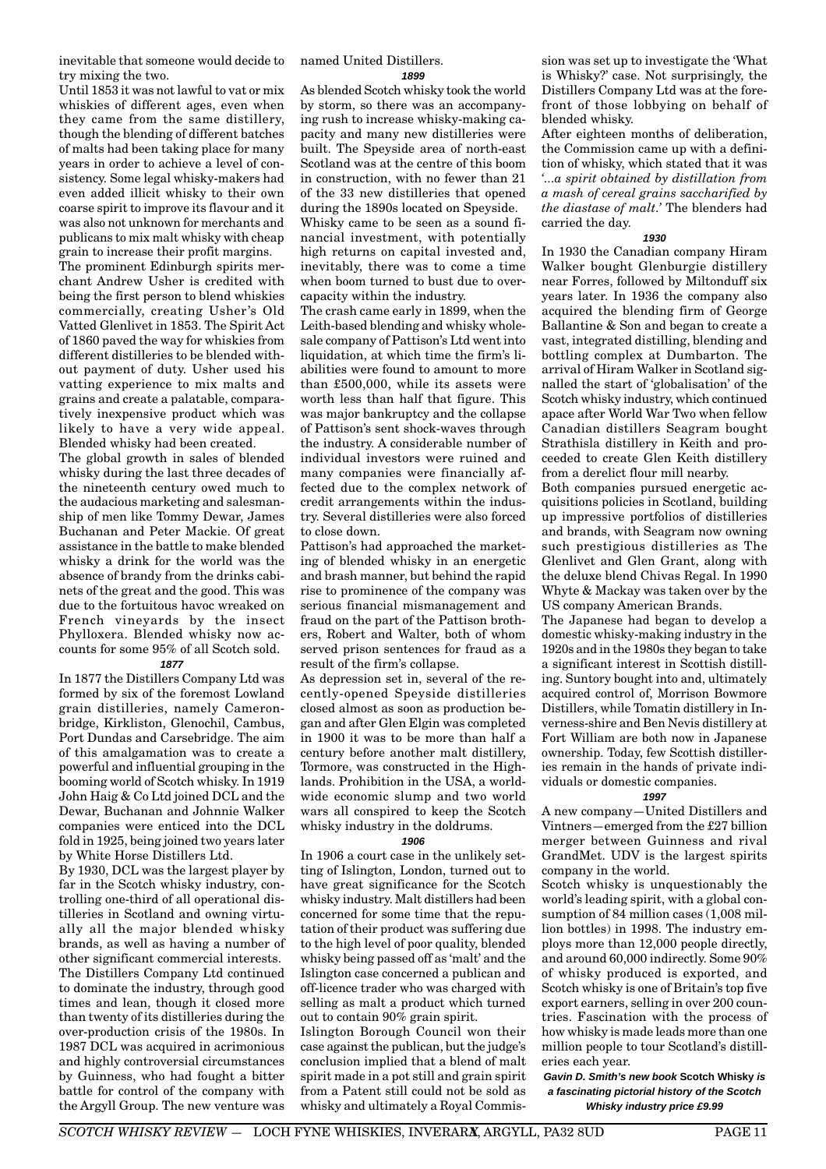inevitable that someone would decide to try mixing the two.

Until 1853 it was not lawful to vat or mix whiskies of different ages, even when they came from the same distillery, though the blending of different batches of malts had been taking place for many years in order to achieve a level of consistency. Some legal whisky-makers had even added illicit whisky to their own coarse spirit to improve its flavour and it was also not unknown for merchants and publicans to mix malt whisky with cheap grain to increase their profit margins.

The prominent Edinburgh spirits merchant Andrew Usher is credited with being the first person to blend whiskies commercially, creating Usher's Old Vatted Glenlivet in 1853. The Spirit Act of 1860 paved the way for whiskies from different distilleries to be blended without payment of duty. Usher used his vatting experience to mix malts and grains and create a palatable, comparatively inexpensive product which was likely to have a very wide appeal. Blended whisky had been created.

The global growth in sales of blended whisky during the last three decades of the nineteenth century owed much to the audacious marketing and salesmanship of men like Tommy Dewar, James Buchanan and Peter Mackie. Of great assistance in the battle to make blended whisky a drink for the world was the absence of brandy from the drinks cabinets of the great and the good. This was due to the fortuitous havoc wreaked on French vineyards by the insect Phylloxera. Blended whisky now accounts for some 95% of all Scotch sold. **1877**

In 1877 the Distillers Company Ltd was formed by six of the foremost Lowland grain distilleries, namely Cameronbridge, Kirkliston, Glenochil, Cambus, Port Dundas and Carsebridge. The aim of this amalgamation was to create a powerful and influential grouping in the booming world of Scotch whisky. In 1919 John Haig & Co Ltd joined DCL and the Dewar, Buchanan and Johnnie Walker companies were enticed into the DCL fold in 1925, being joined two years later by White Horse Distillers Ltd.

By 1930, DCL was the largest player by far in the Scotch whisky industry, controlling one-third of all operational distilleries in Scotland and owning virtually all the major blended whisky brands, as well as having a number of other significant commercial interests. The Distillers Company Ltd continued to dominate the industry, through good times and lean, though it closed more than twenty of its distilleries during the over-production crisis of the 1980s. In 1987 DCL was acquired in acrimonious and highly controversial circumstances by Guinness, who had fought a bitter battle for control of the company with the Argyll Group. The new venture was named United Distillers.

**1899**

As blended Scotch whisky took the world by storm, so there was an accompanying rush to increase whisky-making capacity and many new distilleries were built. The Speyside area of north-east Scotland was at the centre of this boom in construction, with no fewer than 21 of the 33 new distilleries that opened during the 1890s located on Speyside.

Whisky came to be seen as a sound financial investment, with potentially high returns on capital invested and, inevitably, there was to come a time when boom turned to bust due to overcapacity within the industry.

The crash came early in 1899, when the Leith-based blending and whisky wholesale company of Pattison's Ltd went into liquidation, at which time the firm's liabilities were found to amount to more than £500,000, while its assets were worth less than half that figure. This was major bankruptcy and the collapse of Pattison's sent shock-waves through the industry. A considerable number of individual investors were ruined and many companies were financially affected due to the complex network of credit arrangements within the industry. Several distilleries were also forced to close down.

Pattison's had approached the marketing of blended whisky in an energetic and brash manner, but behind the rapid rise to prominence of the company was serious financial mismanagement and fraud on the part of the Pattison brothers, Robert and Walter, both of whom served prison sentences for fraud as a result of the firm's collapse.

As depression set in, several of the recently-opened Speyside distilleries closed almost as soon as production began and after Glen Elgin was completed in 1900 it was to be more than half a century before another malt distillery, Tormore, was constructed in the Highlands. Prohibition in the USA, a worldwide economic slump and two world wars all conspired to keep the Scotch whisky industry in the doldrums.

#### **1906**

In 1906 a court case in the unlikely setting of Islington, London, turned out to have great significance for the Scotch whisky industry. Malt distillers had been concerned for some time that the reputation of their product was suffering due to the high level of poor quality, blended whisky being passed off as 'malt' and the Islington case concerned a publican and off-licence trader who was charged with selling as malt a product which turned out to contain 90% grain spirit.

Islington Borough Council won their case against the publican, but the judge's conclusion implied that a blend of malt spirit made in a pot still and grain spirit from a Patent still could not be sold as whisky and ultimately a Royal Commis-

sion was set up to investigate the 'What is Whisky?' case. Not surprisingly, the Distillers Company Ltd was at the forefront of those lobbying on behalf of blended whisky.

After eighteen months of deliberation, the Commission came up with a definition of whisky, which stated that it was *'...a spirit obtained by distillation from a mash of cereal grains saccharified by the diastase of malt.'* The blenders had carried the day.

#### **1930**

In 1930 the Canadian company Hiram Walker bought Glenburgie distillery near Forres, followed by Miltonduff six years later. In 1936 the company also acquired the blending firm of George Ballantine & Son and began to create a vast, integrated distilling, blending and bottling complex at Dumbarton. The arrival of Hiram Walker in Scotland signalled the start of 'globalisation' of the Scotch whisky industry, which continued apace after World War Two when fellow Canadian distillers Seagram bought Strathisla distillery in Keith and proceeded to create Glen Keith distillery from a derelict flour mill nearby.

Both companies pursued energetic acquisitions policies in Scotland, building up impressive portfolios of distilleries and brands, with Seagram now owning such prestigious distilleries as The Glenlivet and Glen Grant, along with the deluxe blend Chivas Regal. In 1990 Whyte & Mackay was taken over by the US company American Brands.

The Japanese had began to develop a domestic whisky-making industry in the 1920s and in the 1980s they began to take a significant interest in Scottish distilling. Suntory bought into and, ultimately acquired control of, Morrison Bowmore Distillers, while Tomatin distillery in Inverness-shire and Ben Nevis distillery at Fort William are both now in Japanese ownership. Today, few Scottish distilleries remain in the hands of private individuals or domestic companies.

#### **1997**

A new company—United Distillers and Vintners—emerged from the £27 billion merger between Guinness and rival GrandMet. UDV is the largest spirits company in the world.

Scotch whisky is unquestionably the world's leading spirit, with a global consumption of 84 million cases  $(1,008$  million bottles) in 1998. The industry employs more than 12,000 people directly, and around 60,000 indirectly. Some 90% of whisky produced is exported, and Scotch whisky is one of Britain's top five export earners, selling in over 200 countries. Fascination with the process of how whisky is made leads more than one million people to tour Scotland's distilleries each year.

**Gavin D. Smith's new book Scotch Whisky is a fascinating pictorial history of the Scotch Whisky industry price £9.99**